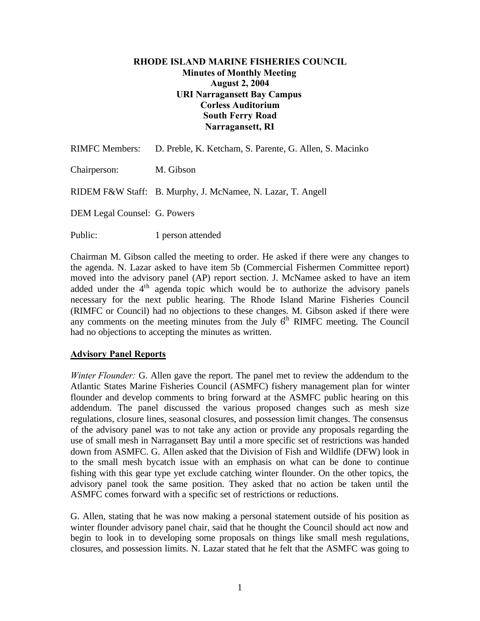#### **RHODE ISLAND MARINE FISHERIES COUNCIL Minutes of Monthly Meeting August 2, 2004 URI Narragansett Bay Campus Corless Auditorium South Ferry Road Narragansett, RI**

|                                     | RIMFC Members: D. Preble, K. Ketcham, S. Parente, G. Allen, S. Macinko |
|-------------------------------------|------------------------------------------------------------------------|
| Chairperson:                        | M. Gibson                                                              |
|                                     | RIDEM F&W Staff: B. Murphy, J. McNamee, N. Lazar, T. Angell            |
| <b>DEM Legal Counsel: G. Powers</b> |                                                                        |
| Public:                             | 1 person attended                                                      |

Chairman M. Gibson called the meeting to order. He asked if there were any changes to the agenda. N. Lazar asked to have item 5b (Commercial Fishermen Committee report) moved into the advisory panel (AP) report section. J. McNamee asked to have an item added under the 4<sup>th</sup> agenda topic which would be to authorize the advisory panels necessary for the next public hearing. The Rhode Island Marine Fisheries Council (RIMFC or Council) had no objections to these changes. M. Gibson asked if there were any comments on the meeting minutes from the July  $6<sup>th</sup>$  RIMFC meeting. The Council had no objections to accepting the minutes as written.

#### **Advisory Panel Reports**

*Winter Flounder:* G. Allen gave the report. The panel met to review the addendum to the Atlantic States Marine Fisheries Council (ASMFC) fishery management plan for winter flounder and develop comments to bring forward at the ASMFC public hearing on this addendum. The panel discussed the various proposed changes such as mesh size regulations, closure lines, seasonal closures, and possession limit changes. The consensus of the advisory panel was to not take any action or provide any proposals regarding the use of small mesh in Narragansett Bay until a more specific set of restrictions was handed down from ASMFC. G. Allen asked that the Division of Fish and Wildlife (DFW) look in to the small mesh bycatch issue with an emphasis on what can be done to continue fishing with this gear type yet exclude catching winter flounder. On the other topics, the advisory panel took the same position. They asked that no action be taken until the ASMFC comes forward with a specific set of restrictions or reductions.

G. Allen, stating that he was now making a personal statement outside of his position as winter flounder advisory panel chair, said that he thought the Council should act now and begin to look in to developing some proposals on things like small mesh regulations, closures, and possession limits. N. Lazar stated that he felt that the ASMFC was going to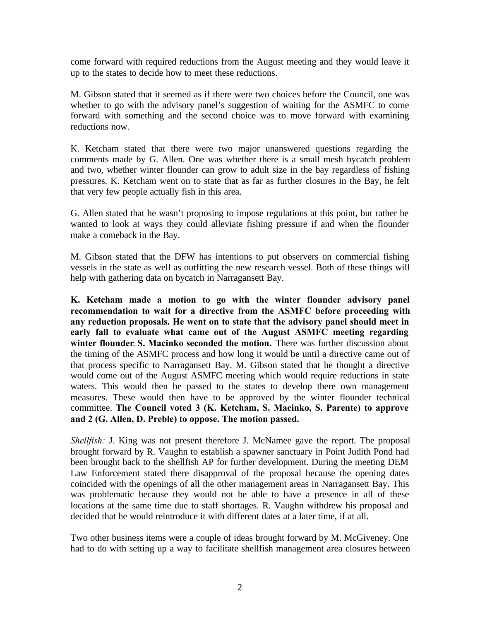come forward with required reductions from the August meeting and they would leave it up to the states to decide how to meet these reductions.

M. Gibson stated that it seemed as if there were two choices before the Council, one was whether to go with the advisory panel's suggestion of waiting for the ASMFC to come forward with something and the second choice was to move forward with examining reductions now.

K. Ketcham stated that there were two major unanswered questions regarding the comments made by G. Allen. One was whether there is a small mesh bycatch problem and two, whether winter flounder can grow to adult size in the bay regardless of fishing pressures. K. Ketcham went on to state that as far as further closures in the Bay, he felt that very few people actually fish in this area.

G. Allen stated that he wasn't proposing to impose regulations at this point, but rather he wanted to look at ways they could alleviate fishing pressure if and when the flounder make a comeback in the Bay.

M. Gibson stated that the DFW has intentions to put observers on commercial fishing vessels in the state as well as outfitting the new research vessel. Both of these things will help with gathering data on bycatch in Narragansett Bay.

**K. Ketcham made a motion to go with the winter flounder advisory panel recommendation to wait for a directive from the ASMFC before proceeding with any reduction proposals. He went on to state that the advisory panel should meet in early fall to evaluate what came out of the August ASMFC meeting regarding winter flounder**. **S. Macinko seconded the motion.** There was further discussion about the timing of the ASMFC process and how long it would be until a directive came out of that process specific to Narragansett Bay. M. Gibson stated that he thought a directive would come out of the August ASMFC meeting which would require reductions in state waters. This would then be passed to the states to develop there own management measures. These would then have to be approved by the winter flounder technical committee. **The Council voted 3 (K. Ketcham, S. Macinko, S. Parente) to approve and 2 (G. Allen, D. Preble) to oppose. The motion passed.**

*Shellfish:* J. King was not present therefore J. McNamee gave the report. The proposal brought forward by R. Vaughn to establish a spawner sanctuary in Point Judith Pond had been brought back to the shellfish AP for further development. During the meeting DEM Law Enforcement stated there disapproval of the proposal because the opening dates coincided with the openings of all the other management areas in Narragansett Bay. This was problematic because they would not be able to have a presence in all of these locations at the same time due to staff shortages. R. Vaughn withdrew his proposal and decided that he would reintroduce it with different dates at a later time, if at all.

Two other business items were a couple of ideas brought forward by M. McGiveney. One had to do with setting up a way to facilitate shellfish management area closures between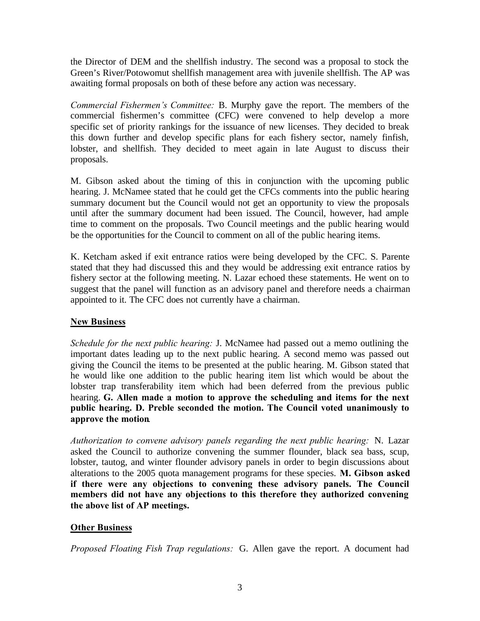the Director of DEM and the shellfish industry. The second was a proposal to stock the Green's River/Potowomut shellfish management area with juvenile shellfish. The AP was awaiting formal proposals on both of these before any action was necessary.

*Commercial Fishermen's Committee:* B. Murphy gave the report. The members of the commercial fishermen's committee (CFC) were convened to help develop a more specific set of priority rankings for the issuance of new licenses. They decided to break this down further and develop specific plans for each fishery sector, namely finfish, lobster, and shellfish. They decided to meet again in late August to discuss their proposals.

M. Gibson asked about the timing of this in conjunction with the upcoming public hearing. J. McNamee stated that he could get the CFCs comments into the public hearing summary document but the Council would not get an opportunity to view the proposals until after the summary document had been issued. The Council, however, had ample time to comment on the proposals. Two Council meetings and the public hearing would be the opportunities for the Council to comment on all of the public hearing items.

K. Ketcham asked if exit entrance ratios were being developed by the CFC. S. Parente stated that they had discussed this and they would be addressing exit entrance ratios by fishery sector at the following meeting. N. Lazar echoed these statements. He went on to suggest that the panel will function as an advisory panel and therefore needs a chairman appointed to it. The CFC does not currently have a chairman.

## **New Business**

*Schedule for the next public hearing:* J. McNamee had passed out a memo outlining the important dates leading up to the next public hearing. A second memo was passed out giving the Council the items to be presented at the public hearing. M. Gibson stated that he would like one addition to the public hearing item list which would be about the lobster trap transferability item which had been deferred from the previous public hearing. **G. Allen made a motion to approve the scheduling and items for the next public hearing. D. Preble seconded the motion. The Council voted unanimously to approve the motion**.

*Authorization to convene advisory panels regarding the next public hearing:* N. Lazar asked the Council to authorize convening the summer flounder, black sea bass, scup, lobster, tautog, and winter flounder advisory panels in order to begin discussions about alterations to the 2005 quota management programs for these species. **M. Gibson asked if there were any objections to convening these advisory panels. The Council members did not have any objections to this therefore they authorized convening the above list of AP meetings.**

## **Other Business**

*Proposed Floating Fish Trap regulations:* G. Allen gave the report. A document had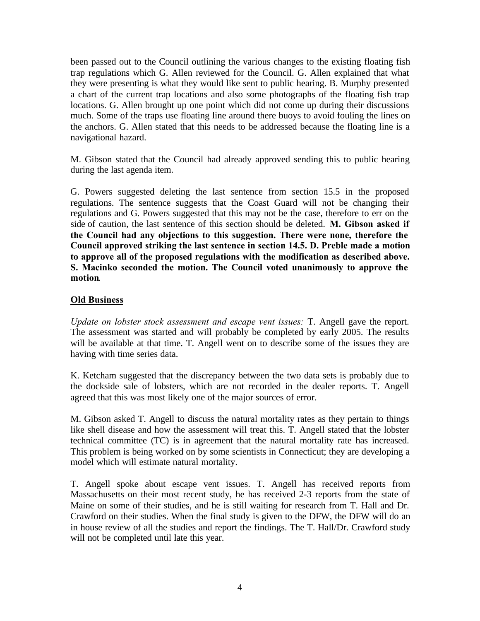been passed out to the Council outlining the various changes to the existing floating fish trap regulations which G. Allen reviewed for the Council. G. Allen explained that what they were presenting is what they would like sent to public hearing. B. Murphy presented a chart of the current trap locations and also some photographs of the floating fish trap locations. G. Allen brought up one point which did not come up during their discussions much. Some of the traps use floating line around there buoys to avoid fouling the lines on the anchors. G. Allen stated that this needs to be addressed because the floating line is a navigational hazard.

M. Gibson stated that the Council had already approved sending this to public hearing during the last agenda item.

G. Powers suggested deleting the last sentence from section 15.5 in the proposed regulations. The sentence suggests that the Coast Guard will not be changing their regulations and G. Powers suggested that this may not be the case, therefore to err on the side of caution, the last sentence of this section should be deleted. **M. Gibson asked if the Council had any objections to this suggestion. There were none, therefore the Council approved striking the last sentence in section 14.5. D. Preble made a motion to approve all of the proposed regulations with the modification as described above. S. Macinko seconded the motion. The Council voted unanimously to approve the motion**.

## **Old Business**

*Update on lobster stock assessment and escape vent issues:* T. Angell gave the report. The assessment was started and will probably be completed by early 2005. The results will be available at that time. T. Angell went on to describe some of the issues they are having with time series data.

K. Ketcham suggested that the discrepancy between the two data sets is probably due to the dockside sale of lobsters, which are not recorded in the dealer reports. T. Angell agreed that this was most likely one of the major sources of error.

M. Gibson asked T. Angell to discuss the natural mortality rates as they pertain to things like shell disease and how the assessment will treat this. T. Angell stated that the lobster technical committee (TC) is in agreement that the natural mortality rate has increased. This problem is being worked on by some scientists in Connecticut; they are developing a model which will estimate natural mortality.

T. Angell spoke about escape vent issues. T. Angell has received reports from Massachusetts on their most recent study, he has received 2-3 reports from the state of Maine on some of their studies, and he is still waiting for research from T. Hall and Dr. Crawford on their studies. When the final study is given to the DFW, the DFW will do an in house review of all the studies and report the findings. The T. Hall/Dr. Crawford study will not be completed until late this year.